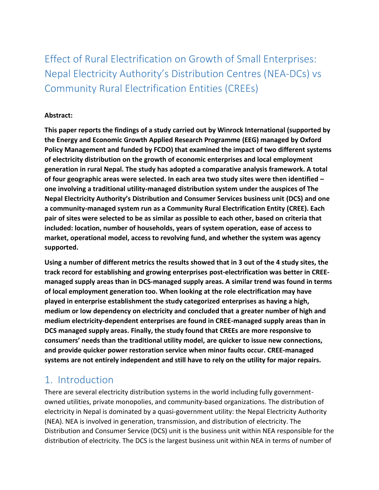Effect of Rural Electrification on Growth of Small Enterprises: Nepal Electricity Authority's Distribution Centres (NEA-DCs) vs Community Rural Electrification Entities (CREEs)

#### **Abstract:**

**This paper reports the findings of a study carried out by Winrock International (supported by the Energy and Economic Growth Applied Research Programme (EEG) managed by Oxford Policy Management and funded by FCDO) that examined the impact of two different systems of electricity distribution on the growth of economic enterprises and local employment generation in rural Nepal. The study has adopted a comparative analysis framework. A total of four geographic areas were selected. In each area two study sites were then identified – one involving a traditional utility-managed distribution system under the auspices of The Nepal Electricity Authority's Distribution and Consumer Services business unit (DCS) and one a community-managed system run as a Community Rural Electrification Entity (CREE). Each pair of sites were selected to be as similar as possible to each other, based on criteria that included: location, number of households, years of system operation, ease of access to market, operational model, access to revolving fund, and whether the system was agency supported.**

**Using a number of different metrics the results showed that in 3 out of the 4 study sites, the track record for establishing and growing enterprises post-electrification was better in CREEmanaged supply areas than in DCS-managed supply areas. A similar trend was found in terms of local employment generation too. When looking at the role electrification may have played in enterprise establishment the study categorized enterprises as having a high, medium or low dependency on electricity and concluded that a greater number of high and medium electricity-dependent enterprises are found in CREE-managed supply areas than in DCS managed supply areas. Finally, the study found that CREEs are more responsive to consumers' needs than the traditional utility model, are quicker to issue new connections, and provide quicker power restoration service when minor faults occur. CREE-managed systems are not entirely independent and still have to rely on the utility for major repairs.**

## 1. Introduction

There are several electricity distribution systems in the world including fully governmentowned utilities, private monopolies, and community-based organizations. The distribution of electricity in Nepal is dominated by a quasi-government utility: the Nepal Electricity Authority (NEA). NEA is involved in generation, transmission, and distribution of electricity. The Distribution and Consumer Service (DCS) unit is the business unit within NEA responsible for the distribution of electricity. The DCS is the largest business unit within NEA in terms of number of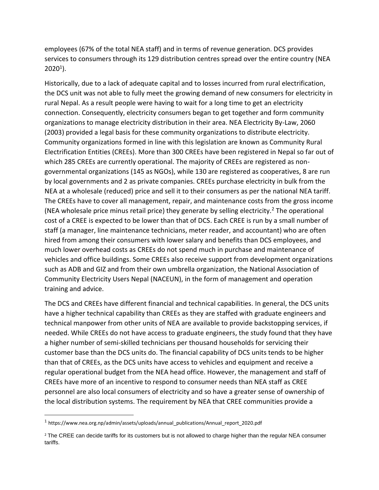employees (67% of the total NEA staff) and in terms of revenue generation. DCS provides services to consumers through its 129 distribution centres spread over the entire country (NEA  $2020<sup>1</sup>$ ).

Historically, due to a lack of adequate capital and to losses incurred from rural electrification, the DCS unit was not able to fully meet the growing demand of new consumers for electricity in rural Nepal. As a result people were having to wait for a long time to get an electricity connection. Consequently, electricity consumers began to get together and form community organizations to manage electricity distribution in their area. NEA Electricity By-Law, 2060 (2003) provided a legal basis for these community organizations to distribute electricity. Community organizations formed in line with this legislation are known as Community Rural Electrification Entities (CREEs). More than 300 CREEs have been registered in Nepal so far out of which 285 CREEs are currently operational. The majority of CREEs are registered as nongovernmental organizations (145 as NGOs), while 130 are registered as cooperatives, 8 are run by local governments and 2 as private companies. CREEs purchase electricity in bulk from the NEA at a wholesale (reduced) price and sell it to their consumers as per the national NEA tariff. The CREEs have to cover all management, repair, and maintenance costs from the gross income (NEA wholesale price minus retail price) they generate by selling electricity.<sup>2</sup> The operational cost of a CREE is expected to be lower than that of DCS. Each CREE is run by a small number of staff (a manager, line maintenance technicians, meter reader, and accountant) who are often hired from among their consumers with lower salary and benefits than DCS employees, and much lower overhead costs as CREEs do not spend much in purchase and maintenance of vehicles and office buildings. Some CREEs also receive support from development organizations such as ADB and GIZ and from their own umbrella organization, the National Association of Community Electricity Users Nepal (NACEUN), in the form of management and operation training and advice.

The DCS and CREEs have different financial and technical capabilities. In general, the DCS units have a higher technical capability than CREEs as they are staffed with graduate engineers and technical manpower from other units of NEA are available to provide backstopping services, if needed. While CREEs do not have access to graduate engineers, the study found that they have a higher number of semi-skilled technicians per thousand households for servicing their customer base than the DCS units do. The financial capability of DCS units tends to be higher than that of CREEs, as the DCS units have access to vehicles and equipment and receive a regular operational budget from the NEA head office. However, the management and staff of CREEs have more of an incentive to respond to consumer needs than NEA staff as CREE personnel are also local consumers of electricity and so have a greater sense of ownership of the local distribution systems. The requirement by NEA that CREE communities provide a

<sup>1</sup> https://www.nea.org.np/admin/assets/uploads/annual\_publications/Annual\_report\_2020.pdf

<sup>&</sup>lt;sup>2</sup> The CREE can decide tariffs for its customers but is not allowed to charge higher than the regular NEA consumer tariffs.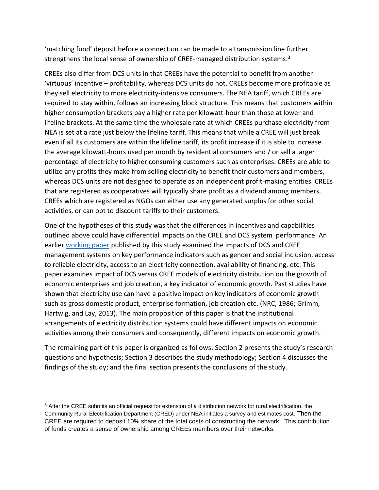'matching fund' deposit before a connection can be made to a transmission line further strengthens the local sense of ownership of CREE-managed distribution systems.<sup>3</sup>

CREEs also differ from DCS units in that CREEs have the potential to benefit from another 'virtuous' incentive – profitability, whereas DCS units do not. CREEs become more profitable as they sell electricity to more electricity-intensive consumers. The NEA tariff, which CREEs are required to stay within, follows an increasing block structure. This means that customers within higher consumption brackets pay a higher rate per kilowatt-hour than those at lower and lifeline brackets. At the same time the wholesale rate at which CREEs purchase electricity from NEA is set at a rate just below the lifeline tariff. This means that while a CREE will just break even if all its customers are within the lifeline tariff, its profit increase if it is able to increase the average kilowatt-hours used per month by residential consumers and / or sell a larger percentage of electricity to higher consuming customers such as enterprises. CREEs are able to utilize any profits they make from selling electricity to benefit their customers and members, whereas DCS units are not designed to operate as an independent profit-making entities. CREEs that are registered as cooperatives will typically share profit as a dividend among members. CREEs which are registered as NGOs can either use any generated surplus for other social activities, or can opt to discount tariffs to their customers.

One of the hypotheses of this study was that the differences in incentives and capabilities outlined above could have differential impacts on the CREE and DCS system performance. An earlier [working paper](https://www.energyeconomicgrowth.org/publication/working-paper-exploring-different-models-electricity-distribution-system-management) published by this study examined the impacts of DCS and CREE management systems on key performance indicators such as gender and social inclusion, access to reliable electricity, access to an electricity connection, availability of financing, etc. This paper examines impact of DCS versus CREE models of electricity distribution on the growth of economic enterprises and job creation, a key indicator of economic growth. Past studies have shown that electricity use can have a positive impact on key indicators of economic growth such as gross domestic product, enterprise formation, job creation etc. (NRC, 1986; Grimm, Hartwig, and Lay, 2013). The main proposition of this paper is that the institutional arrangements of electricity distribution systems could have different impacts on economic activities among their consumers and consequently, different impacts on economic growth.

The remaining part of this paper is organized as follows: Section 2 presents the study's research questions and hypothesis; Section 3 describes the study methodology; Section 4 discusses the findings of the study; and the final section presents the conclusions of the study.

<sup>&</sup>lt;sup>3</sup> After the CREE submits an official request for extension of a distribution network for rural electrification, the Community Rural Electrification Department (CRED) under NEA initiates a survey and estimates cost. Then the CREE are required to deposit 10% share of the total costs of constructing the network. This contribution of funds creates a sense of ownership among CREEs members over their networks.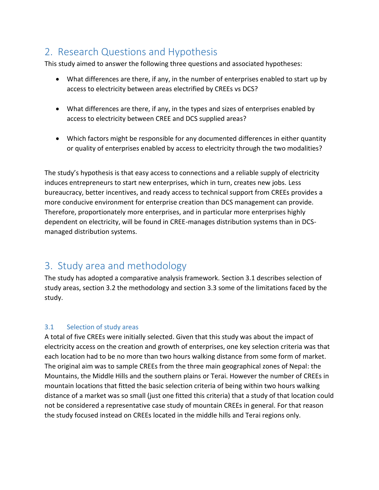# 2. Research Questions and Hypothesis

This study aimed to answer the following three questions and associated hypotheses:

- What differences are there, if any, in the number of enterprises enabled to start up by access to electricity between areas electrified by CREEs vs DCS?
- What differences are there, if any, in the types and sizes of enterprises enabled by access to electricity between CREE and DCS supplied areas?
- Which factors might be responsible for any documented differences in either quantity or quality of enterprises enabled by access to electricity through the two modalities?

The study's hypothesis is that easy access to connections and a reliable supply of electricity induces entrepreneurs to start new enterprises, which in turn, creates new jobs. Less bureaucracy, better incentives, and ready access to technical support from CREEs provides a more conducive environment for enterprise creation than DCS management can provide. Therefore, proportionately more enterprises, and in particular more enterprises highly dependent on electricity, will be found in CREE-manages distribution systems than in DCSmanaged distribution systems.

## 3. Study area and methodology

The study has adopted a comparative analysis framework. Section 3.1 describes selection of study areas, section 3.2 the methodology and section 3.3 some of the limitations faced by the study.

### 3.1 Selection of study areas

A total of five CREEs were initially selected. Given that this study was about the impact of electricity access on the creation and growth of enterprises, one key selection criteria was that each location had to be no more than two hours walking distance from some form of market. The original aim was to sample CREEs from the three main geographical zones of Nepal: the Mountains, the Middle Hills and the southern plains or Terai. However the number of CREEs in mountain locations that fitted the basic selection criteria of being within two hours walking distance of a market was so small (just one fitted this criteria) that a study of that location could not be considered a representative case study of mountain CREEs in general. For that reason the study focused instead on CREEs located in the middle hills and Terai regions only.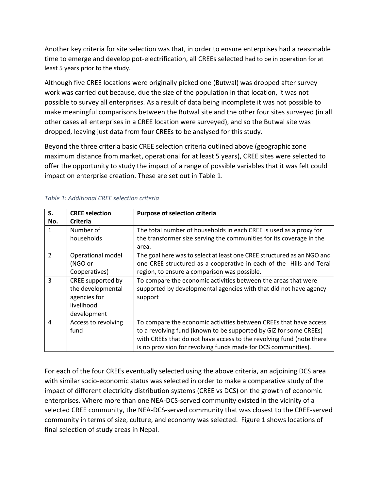Another key criteria for site selection was that, in order to ensure enterprises had a reasonable time to emerge and develop pot-electrification, all CREEs selected had to be in operation for at least 5 years prior to the study.

Although five CREE locations were originally picked one (Butwal) was dropped after survey work was carried out because, due the size of the population in that location, it was not possible to survey all enterprises. As a result of data being incomplete it was not possible to make meaningful comparisons between the Butwal site and the other four sites surveyed (in all other cases all enterprises in a CREE location were surveyed), and so the Butwal site was dropped, leaving just data from four CREEs to be analysed for this study.

Beyond the three criteria basic CREE selection criteria outlined above (geographic zone maximum distance from market, operational for at least 5 years), CREE sites were selected to offer the opportunity to study the impact of a range of possible variables that it was felt could impact on enterprise creation. These are set out in Table 1.

| S.             | <b>CREE selection</b> | <b>Purpose of selection criteria</b>                                   |
|----------------|-----------------------|------------------------------------------------------------------------|
| No.            | <b>Criteria</b>       |                                                                        |
| $\mathbf{1}$   | Number of             | The total number of households in each CREE is used as a proxy for     |
|                | households            | the transformer size serving the communities for its coverage in the   |
|                |                       | area.                                                                  |
| $\overline{2}$ | Operational model     | The goal here was to select at least one CREE structured as an NGO and |
|                | (NGO or               | one CREE structured as a cooperative in each of the Hills and Terai    |
|                | Cooperatives)         | region, to ensure a comparison was possible.                           |
| 3              | CREE supported by     | To compare the economic activities between the areas that were         |
|                | the developmental     | supported by developmental agencies with that did not have agency      |
|                | agencies for          | support                                                                |
|                | livelihood            |                                                                        |
|                | development           |                                                                        |
| 4              | Access to revolving   | To compare the economic activities between CREEs that have access      |
|                | fund                  | to a revolving fund (known to be supported by GiZ for some CREEs)      |
|                |                       | with CREEs that do not have access to the revolving fund (note there   |
|                |                       | is no provision for revolving funds made for DCS communities).         |

#### *Table 1: Additional CREE selection criteria*

For each of the four CREEs eventually selected using the above criteria, an adjoining DCS area with similar socio-economic status was selected in order to make a comparative study of the impact of different electricity distribution systems (CREE vs DCS) on the growth of economic enterprises. Where more than one NEA-DCS-served community existed in the vicinity of a selected CREE community, the NEA-DCS-served community that was closest to the CREE-served community in terms of size, culture, and economy was selected. Figure 1 shows locations of final selection of study areas in Nepal.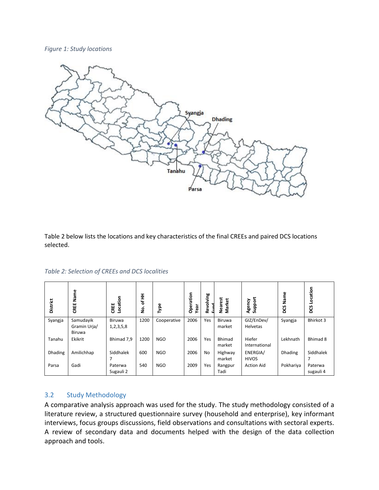*Figure 1: Study locations*



Table 2 below lists the locations and key characteristics of the final CREEs and paired DCS locations selected.

| Table 2: Selection of CREEs and DCS localities |  |
|------------------------------------------------|--|
|------------------------------------------------|--|

| <b>District</b> | Name<br>CREE                        | Location<br>CREE     | 풒<br>ቴ<br>ġ | Type        | Operation<br>Year | wolving<br>τ<br>ē<br>ű. | Nearest<br>Market | Support<br>Agency        | Name<br>g      | Location<br>g        |
|-----------------|-------------------------------------|----------------------|-------------|-------------|-------------------|-------------------------|-------------------|--------------------------|----------------|----------------------|
| Syangja         | Samudayik<br>Gramin Urja/<br>Biruwa | Biruwa<br>1,2,3,5,8  | 1200        | Cooperative | 2006              | Yes                     | Biruwa<br>market  | GIZ/EnDev/<br>Helvetas   | Syangja        | Bhirkot 3            |
| Tanahu          | Ekikrit                             | Bhimad 7,9           | 1200        | <b>NGO</b>  | 2006              | Yes                     | Bhimad<br>market  | Hiefer<br>International  | Lekhnath       | Bhimad 8             |
| <b>Dhading</b>  | Amilichhap                          | Siddhalek            | 600         | <b>NGO</b>  | 2006              | No                      | Highway<br>market | ENERGIA/<br><b>HIVOS</b> | <b>Dhading</b> | Siddhalek<br>7       |
| Parsa           | Gadi                                | Paterwa<br>Sugauli 2 | 540         | <b>NGO</b>  | 2009              | Yes                     | Rangpur<br>Tadi   | <b>Action Aid</b>        | Pokhariya      | Paterwa<br>sugauli 4 |

#### 3.2 Study Methodology

A comparative analysis approach was used for the study. The study methodology consisted of a literature review, a structured questionnaire survey (household and enterprise), key informant interviews, focus groups discussions, field observations and consultations with sectoral experts. A review of secondary data and documents helped with the design of the data collection approach and tools.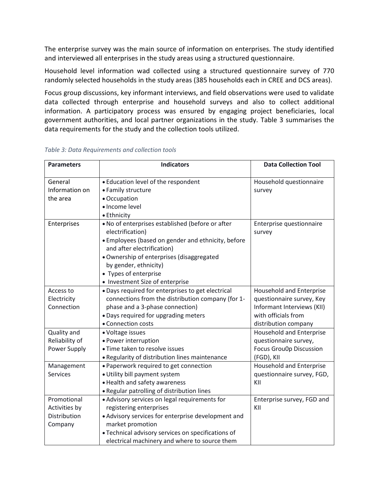The enterprise survey was the main source of information on enterprises. The study identified and interviewed all enterprises in the study areas using a structured questionnaire.

Household level information wad collected using a structured questionnaire survey of 770 randomly selected households in the study areas (385 households each in CREE and DCS areas).

Focus group discussions, key informant interviews, and field observations were used to validate data collected through enterprise and household surveys and also to collect additional information. A participatory process was ensured by engaging project beneficiaries, local government authorities, and local partner organizations in the study. Table 3 summarises the data requirements for the study and the collection tools utilized.

| <b>Parameters</b> | <b>Indicators</b>                                  | <b>Data Collection Tool</b>     |
|-------------------|----------------------------------------------------|---------------------------------|
| General           |                                                    |                                 |
|                   | • Education level of the respondent                | Household questionnaire         |
| Information on    | • Family structure                                 | survey                          |
| the area          | · Occupation                                       |                                 |
|                   | · Income level                                     |                                 |
|                   | • Ethnicity                                        |                                 |
| Enterprises       | . No of enterprises established (before or after   | Enterprise questionnaire        |
|                   | electrification)                                   | survey                          |
|                   | · Employees (based on gender and ethnicity, before |                                 |
|                   | and after electrification)                         |                                 |
|                   | . Ownership of enterprises (disaggregated          |                                 |
|                   | by gender, ethnicity)                              |                                 |
|                   | • Types of enterprise                              |                                 |
|                   | • Investment Size of enterprise                    |                                 |
| Access to         | · Days required for enterprises to get electrical  | Household and Enterprise        |
| Electricity       | connections from the distribution company (for 1-  | questionnaire survey, Key       |
| Connection        | phase and a 3-phase connection)                    | Informant Interviews (KII)      |
|                   | · Days required for upgrading meters               | with officials from             |
|                   | • Connection costs                                 | distribution company            |
| Quality and       | • Voltage issues                                   | <b>Household and Enterprise</b> |
| Reliability of    | · Power interruption                               | questionnaire survey,           |
| Power Supply      | • Time taken to resolve issues                     | Focus Grou0p Discussion         |
|                   | . Regularity of distribution lines maintenance     | (FGD), KII                      |
| Management        | • Paperwork required to get connection             | Household and Enterprise        |
| <b>Services</b>   | · Utility bill payment system                      | questionnaire survey, FGD,      |
|                   | • Health and safety awareness                      | KII                             |
|                   | . Regular patrolling of distribution lines         |                                 |
| Promotional       | • Advisory services on legal requirements for      | Enterprise survey, FGD and      |
| Activities by     | registering enterprises                            | KII                             |
| Distribution      | • Advisory services for enterprise development and |                                 |
| Company           | market promotion                                   |                                 |
|                   | • Technical advisory services on specifications of |                                 |
|                   | electrical machinery and where to source them      |                                 |

#### *Table 3: Data Requirements and collection tools*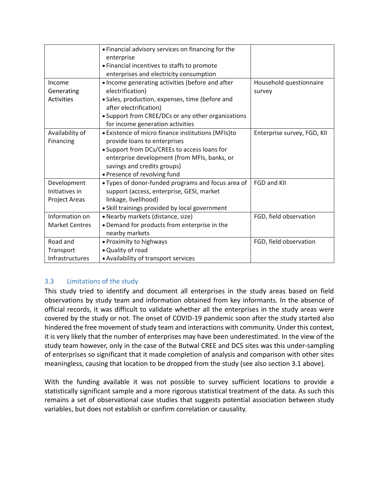|                       | • Financial advisory services on financing for the |                             |
|-----------------------|----------------------------------------------------|-----------------------------|
|                       | enterprise                                         |                             |
|                       | • Financial incentives to staffs to promote        |                             |
|                       | enterprises and electricity consumption            |                             |
| Income                | . Income generating activities (before and after   | Household questionnaire     |
| Generating            | electrification)                                   | survey                      |
| <b>Activities</b>     | · Sales, production, expenses, time (before and    |                             |
|                       | after electrification)                             |                             |
|                       | • Support from CREE/DCs or any other organizations |                             |
|                       | for income generation activities                   |                             |
| Availability of       | • Existence of micro finance institutions (MFIs)to | Enterprise survey, FGD, KII |
| Financing             | provide loans to enterprises                       |                             |
|                       | • Support from DCs/CREEs to access loans for       |                             |
|                       | enterprise development (from MFIs, banks, or       |                             |
|                       | savings and credits groups)                        |                             |
|                       | • Presence of revolving fund                       |                             |
| Development           | • Types of donor-funded programs and focus area of | FGD and KII                 |
| Initiatives in        | support (access, enterprise, GESI, market          |                             |
| Project Areas         | linkage, livelihood)                               |                             |
|                       | · Skill trainings provided by local government     |                             |
| Information on        | • Nearby markets (distance, size)                  | FGD, field observation      |
| <b>Market Centres</b> | • Demand for products from enterprise in the       |                             |
|                       | nearby markets                                     |                             |
| Road and              | • Proximity to highways                            | FGD, field observation      |
| Transport             | • Quality of road                                  |                             |
| Infrastructures       | • Availability of transport services               |                             |

### 3.3 Limitations of the study

This study tried to identify and document all enterprises in the study areas based on field observations by study team and information obtained from key informants. In the absence of official records, it was difficult to validate whether all the enterprises in the study areas were covered by the study or not. The onset of COVID-19 pandemic soon after the study started also hindered the free movement of study team and interactions with community. Under this context, it is very likely that the number of enterprises may have been underestimated. In the view of the study team however, only in the case of the Butwal CREE and DCS sites was this under-sampling of enterprises so significant that it made completion of analysis and comparison with other sites meaningless, causing that location to be dropped from the study (see also section 3.1 above).

With the funding available it was not possible to survey sufficient locations to provide a statistically significant sample and a more rigorous statistical treatment of the data. As such this remains a set of observational case studies that suggests potential association between study variables, but does not establish or confirm correlation or causality.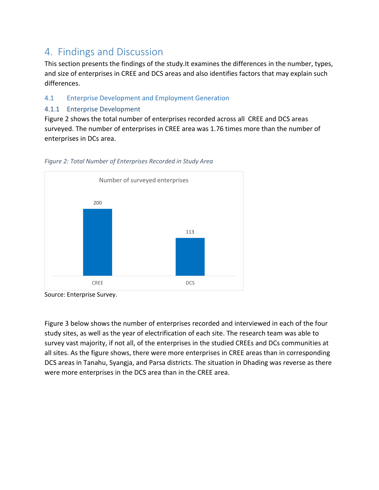## 4. Findings and Discussion

This section presents the findings of the study.It examines the differences in the number, types, and size of enterprises in CREE and DCS areas and also identifies factors that may explain such differences.

#### 4.1 Enterprise Development and Employment Generation

#### 4.1.1 Enterprise Development

Figure 2 shows the total number of enterprises recorded across all CREE and DCS areas surveyed. The number of enterprises in CREE area was 1.76 times more than the number of enterprises in DCs area.





Figure 3 below shows the number of enterprises recorded and interviewed in each of the four study sites, as well as the year of electrification of each site. The research team was able to survey vast majority, if not all, of the enterprises in the studied CREEs and DCs communities at all sites. As the figure shows, there were more enterprises in CREE areas than in corresponding DCS areas in Tanahu, Syangja, and Parsa districts. The situation in Dhading was reverse as there were more enterprises in the DCS area than in the CREE area.

Source: Enterprise Survey.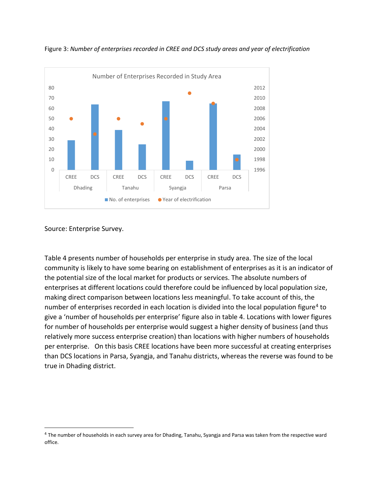

Figure 3: *Number of enterprises recorded in CREE and DCS study areas and year of electrification*

Source: Enterprise Survey.

Table 4 presents number of households per enterprise in study area. The size of the local community is likely to have some bearing on establishment of enterprises as it is an indicator of the potential size of the local market for products or services. The absolute numbers of enterprises at different locations could therefore could be influenced by local population size, making direct comparison between locations less meaningful. To take account of this, the number of enterprises recorded in each location is divided into the local population figure<sup>4</sup> to give a 'number of households per enterprise' figure also in table 4. Locations with lower figures for number of households per enterprise would suggest a higher density of business (and thus relatively more success enterprise creation) than locations with higher numbers of households per enterprise. On this basis CREE locations have been more successful at creating enterprises than DCS locations in Parsa, Syangja, and Tanahu districts, whereas the reverse was found to be true in Dhading district.

<sup>&</sup>lt;sup>4</sup> The number of households in each survey area for Dhading, Tanahu, Syangja and Parsa was taken from the respective ward office.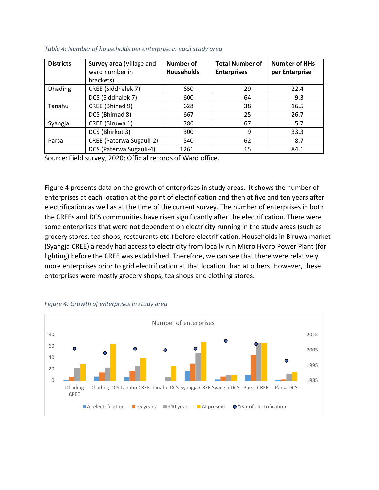| <b>Districts</b> | Survey area (Village and<br>ward number in<br>brackets) | <b>Number of</b><br><b>Households</b> | <b>Total Number of</b><br><b>Enterprises</b> | <b>Number of HHs</b><br>per Enterprise |
|------------------|---------------------------------------------------------|---------------------------------------|----------------------------------------------|----------------------------------------|
| <b>Dhading</b>   | CREE (Siddhalek 7)                                      | 650                                   | 29                                           | 22.4                                   |
|                  | DCS (Siddhalek 7)                                       | 600                                   | 64                                           | 9.3                                    |
| Tanahu           | CREE (Bhinad 9)                                         | 628                                   | 38                                           | 16.5                                   |
|                  | DCS (Bhimad 8)                                          | 667                                   | 25                                           | 26.7                                   |
| Syangja          | CREE (Biruwa 1)                                         | 386                                   | 67                                           | 5.7                                    |
|                  | DCS (Bhirkot 3)                                         | 300                                   | 9                                            | 33.3                                   |
| Parsa            | <b>CREE</b> (Paterwa Sugauli-2)                         | 540                                   | 62                                           | 8.7                                    |
|                  | DCS (Paterwa Sugauli-4)                                 | 1261                                  | 15                                           | 84.1                                   |

| Table 4: Number of households per enterprise in each study area |  |  |
|-----------------------------------------------------------------|--|--|
|-----------------------------------------------------------------|--|--|

Source: Field survey, 2020; Official records of Ward office.

Figure 4 presents data on the growth of enterprises in study areas. It shows the number of enterprises at each location at the point of electrification and then at five and ten years after electrification as well as at the time of the current survey. The number of enterprises in both the CREEs and DCS communities have risen significantly after the electrification. There were some enterprises that were not dependent on electricity running in the study areas (such as grocery stores, tea shops, restaurants etc.) before electrification. Households in Biruwa market (Syangja CREE) already had access to electricity from locally run Micro Hydro Power Plant (for lighting) before the CREE was established. Therefore, we can see that there were relatively more enterprises prior to grid electrification at that location than at others. However, these enterprises were mostly grocery shops, tea shops and clothing stores.



*Figure 4: Growth of enterprises in study area*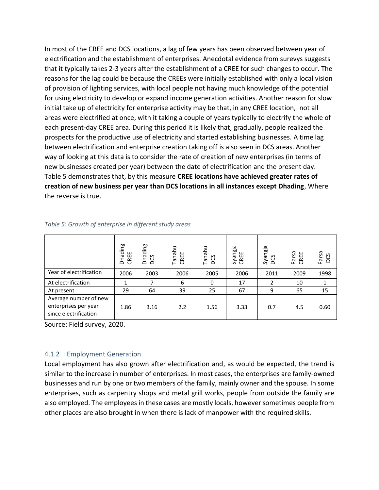In most of the CREE and DCS locations, a lag of few years has been observed between year of electrification and the establishment of enterprises. Anecdotal evidence from surevys suggests that it typically takes 2-3 years after the establishment of a CREE for such changes to occur. The reasons for the lag could be because the CREEs were initially established with only a local vision of provision of lighting services, with local people not having much knowledge of the potential for using electricity to develop or expand income generation activities. Another reason for slow initial take up of electricity for enterprise activity may be that, in any CREE location, not all areas were electrified at once, with it taking a couple of years typically to electrify the whole of each present-day CREE area. During this period it is likely that, gradually, people realized the prospects for the productive use of electricity and started establishing businesses. A time lag between electrification and enterprise creation taking off is also seen in DCS areas. Another way of looking at this data is to consider the rate of creation of new enterprises (in terms of new businesses created per year) between the date of electrification and the present day. Table 5 demonstrates that, by this measure **CREE locations have achieved greater rates of creation of new business per year than DCS locations in all instances except Dhading**, Where the reverse is true.

|                                                                        | ة.<br>ه<br>Dhadi<br>ш<br>ш<br>ජ | hading<br><u>ვ</u><br>$\Omega$<br>$\Omega$ | Tanahu<br>CREE | Tanahu<br>CCS | Syangja<br>CREE | Syangja<br>უ<br>ე<br>$\Omega$ | Parsa<br>CREE | Parsa<br>DCS |
|------------------------------------------------------------------------|---------------------------------|--------------------------------------------|----------------|---------------|-----------------|-------------------------------|---------------|--------------|
| Year of electrification                                                | 2006                            | 2003                                       | 2006           | 2005          | 2006            | 2011                          | 2009          | 1998         |
| At electrification                                                     |                                 |                                            | 6              | 0             | 17              | 2                             | 10            |              |
| At present                                                             | 29                              | 64                                         | 39             | 25            | 67              | 9                             | 65            | 15           |
| Average number of new<br>enterprises per year<br>since electrification | 1.86                            | 3.16                                       | 2.2            | 1.56          | 3.33            | 0.7                           | 4.5           | 0.60         |

#### *Table 5: Growth of enterprise in different study areas*

Source: Field survey, 2020.

#### 4.1.2 Employment Generation

Local employment has also grown after electrification and, as would be expected, the trend is similar to the increase in number of enterprises. In most cases, the enterprises are family-owned businesses and run by one or two members of the family, mainly owner and the spouse. In some enterprises, such as carpentry shops and metal grill works, people from outside the family are also employed. The employees in these cases are mostly locals, however sometimes people from other places are also brought in when there is lack of manpower with the required skills.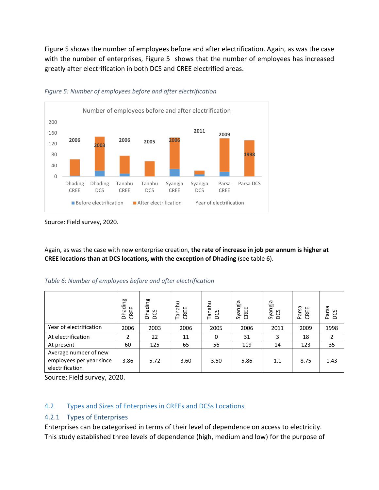Figure 5 shows the number of employees before and after electrification. Again, as was the case with the number of enterprises, Figure 5 shows that the number of employees has increased greatly after electrification in both DCS and CREE electrified areas.





Again, as was the case with new enterprise creation, **the rate of increase in job per annum is higher at CREE locations than at DCS locations, with the exception of Dhading** (see table 6).

| Table 6: Number of employees before and after electrification |  |  |  |
|---------------------------------------------------------------|--|--|--|
|                                                               |  |  |  |
|                                                               |  |  |  |

|                                                                      | Dhading<br>ш<br>CREI | Dhading<br>DCS | Tanahu<br>CREE | Tanahu<br>DCS | Syangja<br>CREE | Syangja<br>DCS | Parsa<br>CREE | Parsa<br>CS |
|----------------------------------------------------------------------|----------------------|----------------|----------------|---------------|-----------------|----------------|---------------|-------------|
| Year of electrification                                              | 2006                 | 2003           | 2006           | 2005          | 2006            | 2011           | 2009          | 1998        |
| At electrification                                                   | 2                    | 22             | 11             | 0             | 31              | 3              | 18            | 2           |
| At present                                                           | 60                   | 125            | 65             | 56            | 119             | 14             | 123           | 35          |
| Average number of new<br>employees per year since<br>electrification | 3.86                 | 5.72           | 3.60           | 3.50          | 5.86            | 1.1            | 8.75          | 1.43        |

Source: Field survey, 2020.

#### 4.2 Types and Sizes of Enterprises in CREEs and DCSs Locations

#### 4.2.1 Types of Enterprises

Enterprises can be categorised in terms of their level of dependence on access to electricity. This study established three levels of dependence (high, medium and low) for the purpose of

Source: Field survey, 2020.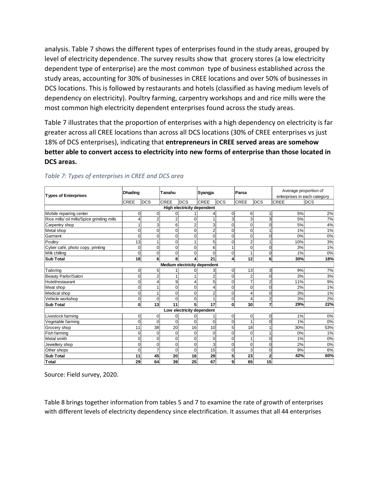analysis. Table 7 shows the different types of enterprises found in the study areas, grouped by level of electricity dependence. The survey results show that grocery stores (a low electricity dependent type of enterprise) are the most common type of business established across the study areas, accounting for 30% of businesses in CREE locations and over 50% of businesses in DCS locations. This is followed by restaurants and hotels (classified as having medium levels of dependency on electricity). Poultry farming, carpentry workshops and and rice mills were the most common high electricity dependent enterprises found across the study areas.

Table 7 illustrates that the proportion of enterprises with a high dependency on electricity is far greater across all CREE locations than across all DCS locations (30% of CREE enterprises vs just 18% of DCS enterprises), indicating that **entrepreneurs in CREE served areas are somehow better able to convert access to electricity into new forms of enterprise than those located in DCS areas.**

| <b>Types of Enterprises</b>                | Dhading     |                | Tanahu      |                | Syangja<br>CREE                   |                | Parsa          |            | Average proportion of<br>enterprises in each category | <b>DCS</b> |
|--------------------------------------------|-------------|----------------|-------------|----------------|-----------------------------------|----------------|----------------|------------|-------------------------------------------------------|------------|
|                                            | <b>CREE</b> | <b>DCS</b>     | <b>CREE</b> | <b>DCS</b>     | <b>High electricity dependent</b> | DCS            | <b>CREE</b>    | <b>DCS</b> | <b>CREE</b>                                           |            |
| Mobile repairing center                    | 0           | 0              |             |                |                                   | 0              | 6              |            | 5%                                                    | 2%         |
| Rice mills/ oil mills/Spice grinding mills | 4           | $\overline{2}$ |             | 0              |                                   | 3              | 3              | 3          | 5%                                                    | 7%         |
| Carpentry shop                             | 1           | 3              | 6           | $\overline{2}$ | 3                                 | 0              | $\mathbf 0$    | C          | 5%                                                    | 4%         |
| Metal shop                                 | $\Omega$    | $\Omega$       | $\Omega$    | $\Omega$       | $\overline{2}$                    | $\Omega$       | $\Omega$       |            | 1%                                                    | 1%         |
| Garment                                    | $\mathbf 0$ | $\Omega$       | O           | $\mathbf 0$    | $\mathbf 0$                       | 0              | $\Omega$       | O          | 0%                                                    | 0%         |
| Poultry                                    | 13          | 1              | $\Omega$    | 1              | 5                                 | $\Omega$       | $\overline{2}$ |            | 10%                                                   | 3%         |
| Cyber café, photo copy, printing           | 0           | 0              | 0           | $\mathbf 0$    | 6                                 | 1              | 0              | 0          | 3%                                                    | 1%         |
| Milk chilling                              | $\Omega$    | $\Omega$       | O           | $\Omega$       | $\Omega$                          | 0              | 1              | 0          | 1%                                                    | 0%         |
| <b>Sub Total</b>                           | 18          | 6              | 8           | Δ              | 21                                | 4              | 12             | 6          | 30%                                                   | 18%        |
|                                            |             |                |             |                | Medium electricity dependent      |                |                |            |                                                       |            |
| Tailoring                                  | 0           | 5              |             | 0              | 3                                 | 0              | 13             | 3          | 9%                                                    | 7%         |
| Beauty Parlor/Salon                        | 0           | $\overline{2}$ |             | 1              | $\overline{2}$                    | 0              | $\overline{2}$ | $\Omega$   | 3%                                                    | 3%         |
| Hotel/restaurant                           | $\Omega$    | 4              | 9           | $\overline{4}$ | 5                                 | $\overline{0}$ | $\overline{7}$ | 2          | 11%                                                   | 9%         |
| Meat shop                                  | 0           | 1              | $\Omega$    | $\mathbf 0$    | 4                                 | 0              | $\Omega$       | 0          | 2%                                                    | 1%         |
| Medical shop                               | $\Omega$    | 1              | 0           | $\Omega$       | 2                                 | $\Omega$       | 4              | 0          | 3%                                                    | 1%         |
| Vehicle workshop                           | 0           | $\Omega$       | $\Omega$    | $\Omega$       | 1                                 | 0              | 4              | 2          | 3%                                                    | 2%         |
| <b>Sub Total</b>                           | 0           | 13             | 11          | 5 <sup>1</sup> | 17                                | $\mathbf{0}$   | 30             | 7          | 29%                                                   | 22%        |
|                                            |             |                |             |                | Low electricity dependent         |                |                |            |                                                       |            |
| Livestock farming                          | 0           | 0              |             | $\Omega$       |                                   | $\mathbf 0$    | 0              | $\Omega$   | 1%                                                    | 0%         |
| Vegetable farming                          | 0           | $\Omega$       | $\Omega$    | 0              | $\mathbf 0$                       | 0              | 1              | 0          | 1%                                                    | 0%         |
| Grocery shop                               | 11          | 38             | 20          | 16             | 10                                | 5              | 18             |            | 30%                                                   | 53%        |
| Fish farming                               | 0           | 0              | $\Omega$    | $\mathbf 0$    | $\mathbf 0$                       | $\mathbf 0$    | $\Omega$       |            | 0%                                                    | 1%         |
| Metal smith                                | 0           | $\mathbf 0$    | 0           | $\mathbf{O}$   | $\mathbf 0$                       | 0              | 1              | $\Omega$   | 1%                                                    | 0%         |
| Jewellery shop                             | $\Omega$    | $\Omega$       | $\Omega$    | $\mathbf 0$    | 3                                 | $\Omega$       | $\Omega$       | C          | 2%                                                    | 0%         |
| Other shops                                | $\Omega$    | $\overline{7}$ | $\Omega$    | $\Omega$       | 15                                | 0              | 3              | 0          | 9%                                                    | 6%         |
| <b>Sub Total</b>                           | 11          | 45             | 20          | 16             | 29                                | 5              | 23             | 2          | 42%                                                   | 60%        |
| <b>Total</b>                               | 29          | 64             | 39          | 25             | 67                                | 9              | 65             | 15         |                                                       |            |

#### *Table 7: Types of enterprises in CREE and DCS area*

Source: Field survey, 2020.

Table 8 brings together information from tables 5 and 7 to examine the rate of growth of enterprises with different levels of electricity dependency since electrification. It assumes that all 44 enterprises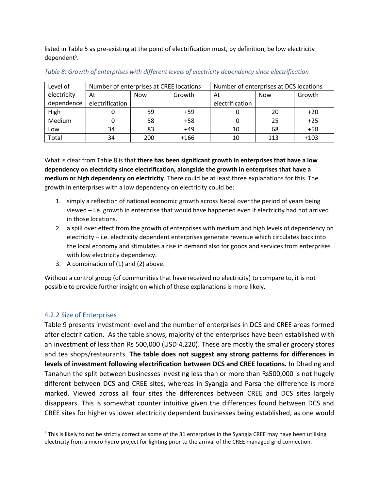listed in Table 5 as pre-existing at the point of electrification must, by definition, be low electricity dependent<sup>5</sup>.

| Level of    | Number of enterprises at CREE locations |            |        | Number of enterprises at DCS locations |            |        |  |  |
|-------------|-----------------------------------------|------------|--------|----------------------------------------|------------|--------|--|--|
| electricity | At                                      | <b>Now</b> | Growth | At                                     | <b>Now</b> | Growth |  |  |
| dependence  | electrification                         |            |        | electrification                        |            |        |  |  |
| High        |                                         | 59         | $+59$  |                                        | 20         | $+20$  |  |  |
| Medium      |                                         | 58         | $+58$  |                                        | 25         | $+25$  |  |  |
| Low         | 34                                      | 83         | $+49$  | 10                                     | 68         | $+58$  |  |  |
| Total       | 34                                      | 200        | +166   | 10                                     | 113        | $+103$ |  |  |

*Table 8: Growth of enterprises with different levels of electricity dependency since electrification*

What is clear from Table 8 is that **there has been significant growth in enterprises that have a low dependency on electricity since electrification, alongside the growth in enterprises that have a medium or high dependency on electricity**. There could be at least three explanations for this. The growth in enterprises with a low dependency on electricity could be:

- 1. simply a reflection of national economic growth across Nepal over the period of years being viewed – i.e. growth in enterprise that would have happened even if electricity had not arrived in those locations.
- 2. a spill over effect from the growth of enterprises with medium and high levels of dependency on electricity – i.e. electricity dependent enterprises generate revenue which circulates back into the local economy and stimulates a rise in demand also for goods and services from enterprises with low electricity dependency.
- 3. A combination of (1) and (2) above.

Without a control group (of communities that have received no electricity) to compare to, it is not possible to provide further insight on which of these explanations is more likely.

### 4.2.2 Size of Enterprises

Table 9 presents investment level and the number of enterprises in DCS and CREE areas formed after electrification. As the table shows, majority of the enterprises have been established with an investment of less than Rs 500,000 (USD 4,220). These are mostly the smaller grocery stores and tea shops/restaurants. **The table does not suggest any strong patterns for differences in levels of investment following electrification between DCS and CREE locations.** In Dhading and Tanahun the split between businesses investing less than or more than Rs500,000 is not hugely different between DCS and CREE sites, whereas in Syangja and Parsa the difference is more marked. Viewed across all four sites the differences between CREE and DCS sites largely disappears. This is somewhat counter intuitive given the differences found between DCS and CREE sites for higher vs lower electricity dependent businesses being established, as one would

 $5$  This is likely to not be strictly correct as some of the 31 enterprises in the Syangia CREE may have been utilising electricity from a micro hydro project for lighting prior to the arrival of the CREE managed grid connection.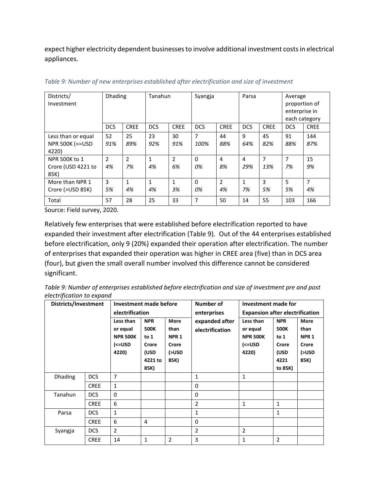expect higher electricity dependent businesses to involve additional investment costs in electrical appliances.

| Districts/<br>Investment                                   | <b>Dhading</b> |                    | Tanahun<br>Syangja |                      |                        | Parsa       |            | Average<br>proportion of<br>enterprise in<br>each category |                      |             |
|------------------------------------------------------------|----------------|--------------------|--------------------|----------------------|------------------------|-------------|------------|------------------------------------------------------------|----------------------|-------------|
|                                                            | <b>DCS</b>     | <b>CREE</b>        | <b>DCS</b>         | <b>CREE</b>          | <b>DCS</b>             | <b>CREE</b> | <b>DCS</b> | <b>CREE</b>                                                | <b>DCS</b>           | <b>CREE</b> |
| Less than or equal<br><b>NPR 500K (&lt;= USD)</b><br>4220) | 52<br>91%      | 25<br>89%          | 23<br>92%          | 30<br>91%            | $\overline{7}$<br>100% | 44<br>88%   | 9<br>64%   | 45<br>82%                                                  | 91<br>88%            | 144<br>87%  |
| NPR 500K to 1<br>Crore (USD 4221 to<br>85K)                | 2<br>4%        | 2<br>7%            | 1<br>4%            | $\overline{2}$<br>6% | $\Omega$<br>0%         | 4<br>8%     | 4<br>29%   | $\overline{7}$<br>13%                                      | $\overline{7}$<br>7% | 15<br>9%    |
| More than NPR 1<br>Crore (>USD 85K)                        | 3<br>5%        | $\mathbf{1}$<br>4% | 1<br>4%            | 1<br>3%              | 0<br>0%                | 2<br>4%     | 1<br>7%    | 3<br>5%                                                    | 5<br>5%              | 7<br>4%     |
| Total                                                      | 57             | 28                 | 25                 | 33                   | 7                      | 50          | 14         | 55                                                         | 103                  | 166         |

*Table 9: Number of new enterprises established after electrification and size of investment*

Source: Field survey, 2020.

Relatively few enterprises that were established before electrification reported to have expanded their investment after electrification (Table 9). Out of the 44 enterprises established before electrification, only 9 (20%) expanded their operation after electrification. The number of enterprises that expanded their operation was higher in CREE area (five) than in DCS area (four), but given the small overall number involved this difference cannot be considered significant.

*Table 9: Number of enterprises established before electrification and size of investment pre and post electrification to expand*

| Districts/Investment |             | Investment made before                                      |                                                                         |                                                                   | Number of                         | Investment made for                                         |                                                                         |                                                                   |
|----------------------|-------------|-------------------------------------------------------------|-------------------------------------------------------------------------|-------------------------------------------------------------------|-----------------------------------|-------------------------------------------------------------|-------------------------------------------------------------------------|-------------------------------------------------------------------|
|                      |             | electrification                                             |                                                                         |                                                                   | enterprises                       | <b>Expansion after electrification</b>                      |                                                                         |                                                                   |
|                      |             | Less than<br>or equal<br><b>NPR 500K</b><br>(<=USD<br>4220) | <b>NPR</b><br><b>500K</b><br>to $1$<br>Crore<br>(USD<br>4221 to<br>85K) | <b>More</b><br>than<br>NPR <sub>1</sub><br>Crore<br>(>USD<br>85K) | expanded after<br>electrification | Less than<br>or equal<br><b>NPR 500K</b><br>(<=USD<br>4220) | <b>NPR</b><br><b>500K</b><br>to $1$<br>Crore<br>(USD<br>4221<br>to 85K) | <b>More</b><br>than<br>NPR <sub>1</sub><br>Crore<br>(>USD<br>85K) |
| <b>Dhading</b>       | <b>DCS</b>  | $\overline{7}$                                              |                                                                         |                                                                   | $\mathbf{1}$                      | 1                                                           |                                                                         |                                                                   |
|                      | <b>CREE</b> | $\mathbf{1}$                                                |                                                                         |                                                                   | 0                                 |                                                             |                                                                         |                                                                   |
| Tanahun              | <b>DCS</b>  | $\Omega$                                                    |                                                                         |                                                                   | 0                                 |                                                             |                                                                         |                                                                   |
|                      | <b>CREE</b> | 6                                                           |                                                                         |                                                                   | $\overline{2}$                    | 1                                                           | 1                                                                       |                                                                   |
| Parsa                | <b>DCS</b>  | $\mathbf{1}$                                                |                                                                         |                                                                   | $\mathbf{1}$                      |                                                             | $\mathbf{1}$                                                            |                                                                   |
|                      | <b>CREE</b> | 6                                                           | $\overline{4}$                                                          |                                                                   | $\Omega$                          |                                                             |                                                                         |                                                                   |
| Syangja              | <b>DCS</b>  | $\overline{2}$                                              |                                                                         |                                                                   | $\overline{2}$                    | 2                                                           |                                                                         |                                                                   |
|                      | <b>CREE</b> | 14                                                          | $\mathbf{1}$                                                            | $\overline{2}$                                                    | 3                                 | 1                                                           | $\overline{2}$                                                          |                                                                   |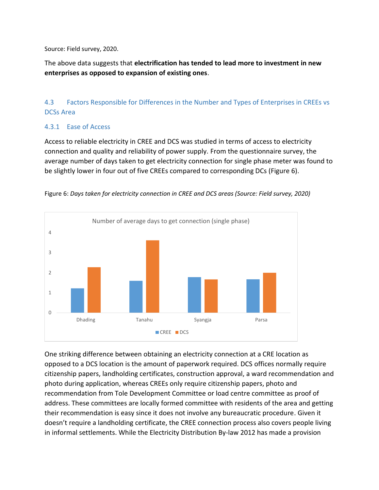Source: Field survey, 2020.

The above data suggests that **electrification has tended to lead more to investment in new enterprises as opposed to expansion of existing ones**.

### 4.3 Factors Responsible for Differences in the Number and Types of Enterprises in CREEs vs DCSs Area

#### 4.3.1 Ease of Access

Access to reliable electricity in CREE and DCS was studied in terms of access to electricity connection and quality and reliability of power supply. From the questionnaire survey, the average number of days taken to get electricity connection for single phase meter was found to be slightly lower in four out of five CREEs compared to corresponding DCs (Figure 6).



Figure 6: *Days taken for electricity connection in CREE and DCS areas (Source: Field survey, 2020)*

One striking difference between obtaining an electricity connection at a CRE location as opposed to a DCS location is the amount of paperwork required. DCS offices normally require citizenship papers, landholding certificates, construction approval, a ward recommendation and photo during application, whereas CREEs only require citizenship papers, photo and recommendation from Tole Development Committee or load centre committee as proof of address. These committees are locally formed committee with residents of the area and getting their recommendation is easy since it does not involve any bureaucratic procedure. Given it doesn't require a landholding certificate, the CREE connection process also covers people living in informal settlements. While the Electricity Distribution By-law 2012 has made a provision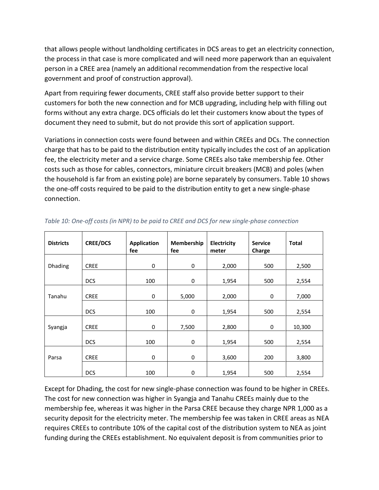that allows people without landholding certificates in DCS areas to get an electricity connection, the process in that case is more complicated and will need more paperwork than an equivalent person in a CREE area (namely an additional recommendation from the respective local government and proof of construction approval).

Apart from requiring fewer documents, CREE staff also provide better support to their customers for both the new connection and for MCB upgrading, including help with filling out forms without any extra charge. DCS officials do let their customers know about the types of document they need to submit, but do not provide this sort of application support.

Variations in connection costs were found between and within CREEs and DCs. The connection charge that has to be paid to the distribution entity typically includes the cost of an application fee, the electricity meter and a service charge. Some CREEs also take membership fee. Other costs such as those for cables, connectors, miniature circuit breakers (MCB) and poles (when the household is far from an existing pole) are borne separately by consumers. Table 10 shows the one-off costs required to be paid to the distribution entity to get a new single-phase connection.

| <b>Districts</b> | <b>CREE/DCS</b> | <b>Application</b><br>fee | Membership<br>fee | Electricity<br>meter | <b>Service</b><br>Charge | <b>Total</b> |
|------------------|-----------------|---------------------------|-------------------|----------------------|--------------------------|--------------|
| <b>Dhading</b>   | <b>CREE</b>     | 0                         | 0                 | 2,000                | 500                      | 2,500        |
|                  | <b>DCS</b>      | 100                       | $\mathbf 0$       | 1,954                | 500                      | 2,554        |
| Tanahu           | <b>CREE</b>     | 0                         | 5,000             | 2,000                | 0                        | 7,000        |
|                  | <b>DCS</b>      | 100                       | 0                 | 1,954                | 500                      | 2,554        |
| Syangja          | <b>CREE</b>     | 0                         | 7,500             | 2,800                | 0                        | 10,300       |
|                  | <b>DCS</b>      | 100                       | 0                 | 1,954                | 500                      | 2,554        |
| Parsa            | <b>CREE</b>     | 0                         | 0                 | 3,600                | 200                      | 3,800        |
|                  | <b>DCS</b>      | 100                       | 0                 | 1,954                | 500                      | 2,554        |

*Table 10: One-off costs (in NPR) to be paid to CREE and DCS for new single-phase connection*

Except for Dhading, the cost for new single-phase connection was found to be higher in CREEs. The cost for new connection was higher in Syangja and Tanahu CREEs mainly due to the membership fee, whereas it was higher in the Parsa CREE because they charge NPR 1,000 as a security deposit for the electricity meter. The membership fee was taken in CREE areas as NEA requires CREEs to contribute 10% of the capital cost of the distribution system to NEA as joint funding during the CREEs establishment. No equivalent deposit is from communities prior to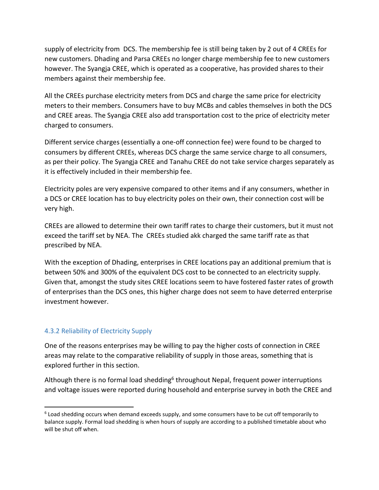supply of electricity from DCS. The membership fee is still being taken by 2 out of 4 CREEs for new customers. Dhading and Parsa CREEs no longer charge membership fee to new customers however. The Syangja CREE, which is operated as a cooperative, has provided shares to their members against their membership fee.

All the CREEs purchase electricity meters from DCS and charge the same price for electricity meters to their members. Consumers have to buy MCBs and cables themselves in both the DCS and CREE areas. The Syangja CREE also add transportation cost to the price of electricity meter charged to consumers.

Different service charges (essentially a one-off connection fee) were found to be charged to consumers by different CREEs, whereas DCS charge the same service charge to all consumers, as per their policy. The Syangja CREE and Tanahu CREE do not take service charges separately as it is effectively included in their membership fee.

Electricity poles are very expensive compared to other items and if any consumers, whether in a DCS or CREE location has to buy electricity poles on their own, their connection cost will be very high.

CREEs are allowed to determine their own tariff rates to charge their customers, but it must not exceed the tariff set by NEA. The CREEs studied akk charged the same tariff rate as that prescribed by NEA.

With the exception of Dhading, enterprises in CREE locations pay an additional premium that is between 50% and 300% of the equivalent DCS cost to be connected to an electricity supply. Given that, amongst the study sites CREE locations seem to have fostered faster rates of growth of enterprises than the DCS ones, this higher charge does not seem to have deterred enterprise investment however.

#### 4.3.2 Reliability of Electricity Supply

One of the reasons enterprises may be willing to pay the higher costs of connection in CREE areas may relate to the comparative reliability of supply in those areas, something that is explored further in this section.

Although there is no formal load shedding<sup>6</sup> throughout Nepal, frequent power interruptions and voltage issues were reported during household and enterprise survey in both the CREE and

<sup>&</sup>lt;sup>6</sup> Load shedding occurs when demand exceeds supply, and some consumers have to be cut off temporarily to balance supply. Formal load shedding is when hours of supply are according to a published timetable about who will be shut off when.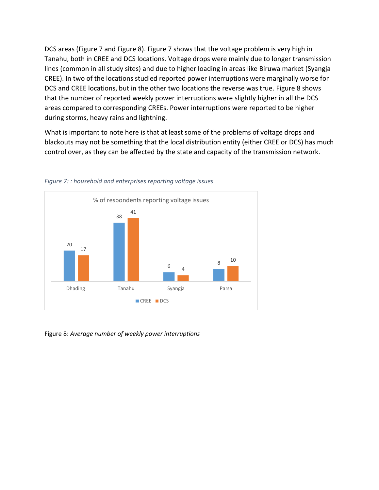DCS areas (Figure 7 and Figure 8). Figure 7 shows that the voltage problem is very high in Tanahu, both in CREE and DCS locations. Voltage drops were mainly due to longer transmission lines (common in all study sites) and due to higher loading in areas like Biruwa market (Syangja CREE). In two of the locations studied reported power interruptions were marginally worse for DCS and CREE locations, but in the other two locations the reverse was true. Figure 8 shows that the number of reported weekly power interruptions were slightly higher in all the DCS areas compared to corresponding CREEs. Power interruptions were reported to be higher during storms, heavy rains and lightning.

What is important to note here is that at least some of the problems of voltage drops and blackouts may not be something that the local distribution entity (either CREE or DCS) has much control over, as they can be affected by the state and capacity of the transmission network.





Figure 8: *Average number of weekly power interruptions*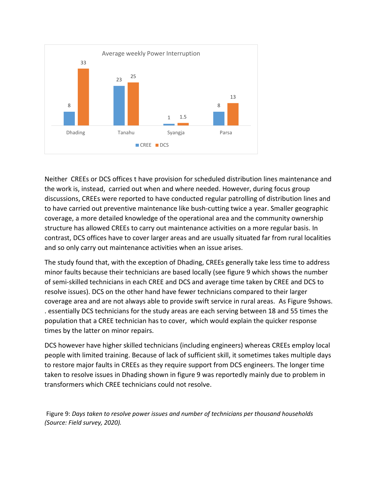

Neither CREEs or DCS offices t have provision for scheduled distribution lines maintenance and the work is, instead, carried out when and where needed. However, during focus group discussions, CREEs were reported to have conducted regular patrolling of distribution lines and to have carried out preventive maintenance like bush-cutting twice a year. Smaller geographic coverage, a more detailed knowledge of the operational area and the community ownership structure has allowed CREEs to carry out maintenance activities on a more regular basis. In contrast, DCS offices have to cover larger areas and are usually situated far from rural localities and so only carry out maintenance activities when an issue arises.

The study found that, with the exception of Dhading, CREEs generally take less time to address minor faults because their technicians are based locally (see figure 9 which shows the number of semi-skilled technicians in each CREE and DCS and average time taken by CREE and DCS to resolve issues). DCS on the other hand have fewer technicians compared to their larger coverage area and are not always able to provide swift service in rural areas. As Figure 9shows. . essentially DCS technicians for the study areas are each serving between 18 and 55 times the population that a CREE technician has to cover, which would explain the quicker response times by the latter on minor repairs.

DCS however have higher skilled technicians (including engineers) whereas CREEs employ local people with limited training. Because of lack of sufficient skill, it sometimes takes multiple days to restore major faults in CREEs as they require support from DCS engineers. The longer time taken to resolve issues in Dhading shown in figure 9 was reportedly mainly due to problem in transformers which CREE technicians could not resolve.

Figure 9: *Days taken to resolve power issues and number of technicians per thousand households (Source: Field survey, 2020).*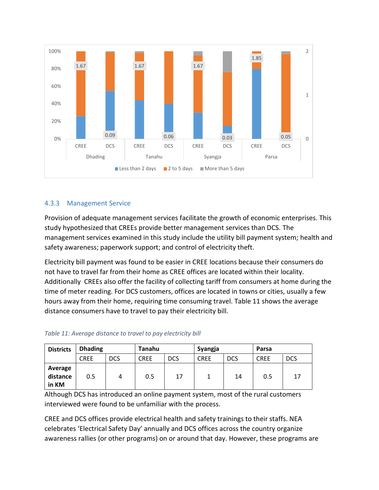

#### 4.3.3 Management Service

Provision of adequate management services facilitate the growth of economic enterprises. This study hypothesized that CREEs provide better management services than DCS. The management services examined in this study include the utility bill payment system; health and safety awareness; paperwork support; and control of electricity theft.

Electricity bill payment was found to be easier in CREE locations because their consumers do not have to travel far from their home as CREE offices are located within their locality. Additionally CREEs also offer the facility of collecting tariff from consumers at home during the time of meter reading. For DCS customers, offices are located in towns or cities, usually a few hours away from their home, requiring time consuming travel. Table 11 shows the average distance consumers have to travel to pay their electricity bill.

| <b>Districts</b> | <b>Dhading</b> |            | Tanahu |            | Syangja     |            | Parsa       |            |
|------------------|----------------|------------|--------|------------|-------------|------------|-------------|------------|
|                  | <b>CREE</b>    | <b>DCS</b> | CREE   | <b>DCS</b> | <b>CREE</b> | <b>DCS</b> | <b>CREE</b> | <b>DCS</b> |
| Average          |                |            |        |            |             |            |             |            |
| distance         | 0.5            |            | 0.5    | 17         |             | 14         | 0.5         | 17         |
| in KM            |                |            |        |            |             |            |             |            |

#### *Table 11: Average distance to travel to pay electricity bill*

Although DCS has introduced an online payment system, most of the rural customers interviewed were found to be unfamiliar with the process.

CREE and DCS offices provide electrical health and safety trainings to their staffs. NEA celebrates 'Electrical Safety Day' annually and DCS offices across the country organize awareness rallies (or other programs) on or around that day. However, these programs are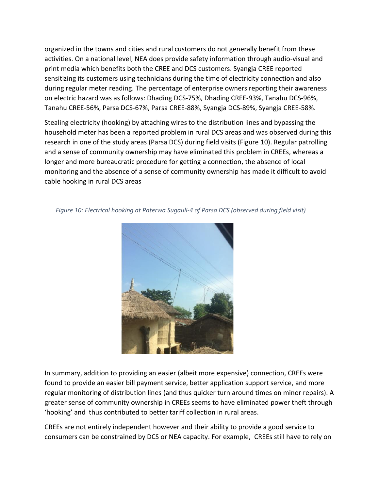organized in the towns and cities and rural customers do not generally benefit from these activities. On a national level, NEA does provide safety information through audio-visual and print media which benefits both the CREE and DCS customers. Syangja CREE reported sensitizing its customers using technicians during the time of electricity connection and also during regular meter reading. The percentage of enterprise owners reporting their awareness on electric hazard was as follows: Dhading DCS-75%, Dhading CREE-93%, Tanahu DCS-96%, Tanahu CREE-56%, Parsa DCS-67%, Parsa CREE-88%, Syangja DCS-89%, Syangja CREE-58%.

Stealing electricity (hooking) by attaching wires to the distribution lines and bypassing the household meter has been a reported problem in rural DCS areas and was observed during this research in one of the study areas (Parsa DCS) during field visits (Figure 10). Regular patrolling and a sense of community ownership may have eliminated this problem in CREEs, whereas a longer and more bureaucratic procedure for getting a connection, the absence of local monitoring and the absence of a sense of community ownership has made it difficult to avoid cable hooking in rural DCS areas

*Figure 10: Electrical hooking at Paterwa Sugauli-4 of Parsa DCS (observed during field visit)*



In summary, addition to providing an easier (albeit more expensive) connection, CREEs were found to provide an easier bill payment service, better application support service, and more regular monitoring of distribution lines (and thus quicker turn around times on minor repairs). A greater sense of community ownership in CREEs seems to have eliminated power theft through 'hooking' and thus contributed to better tariff collection in rural areas.

CREEs are not entirely independent however and their ability to provide a good service to consumers can be constrained by DCS or NEA capacity. For example, CREEs still have to rely on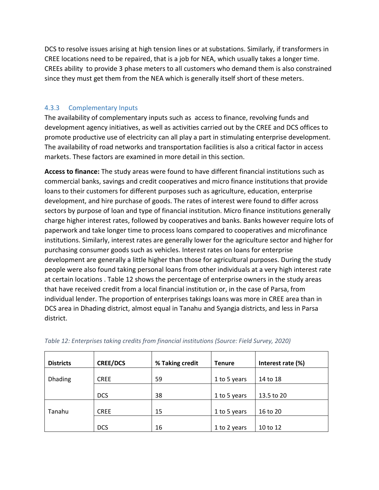DCS to resolve issues arising at high tension lines or at substations. Similarly, if transformers in CREE locations need to be repaired, that is a job for NEA, which usually takes a longer time. CREEs ability to provide 3 phase meters to all customers who demand them is also constrained since they must get them from the NEA which is generally itself short of these meters.

#### 4.3.3 Complementary Inputs

The availability of complementary inputs such as access to finance, revolving funds and development agency initiatives, as well as activities carried out by the CREE and DCS offices to promote productive use of electricity can all play a part in stimulating enterprise development. The availability of road networks and transportation facilities is also a critical factor in access markets. These factors are examined in more detail in this section.

**Access to finance:** The study areas were found to have different financial institutions such as commercial banks, savings and credit cooperatives and micro finance institutions that provide loans to their customers for different purposes such as agriculture, education, enterprise development, and hire purchase of goods. The rates of interest were found to differ across sectors by purpose of loan and type of financial institution. Micro finance institutions generally charge higher interest rates, followed by cooperatives and banks. Banks however require lots of paperwork and take longer time to process loans compared to cooperatives and microfinance institutions. Similarly, interest rates are generally lower for the agriculture sector and higher for purchasing consumer goods such as vehicles. Interest rates on loans for enterprise development are generally a little higher than those for agricultural purposes. During the study people were also found taking personal loans from other individuals at a very high interest rate at certain locations . Table 12 shows the percentage of enterprise owners in the study areas that have received credit from a local financial institution or, in the case of Parsa, from individual lender. The proportion of enterprises takings loans was more in CREE area than in DCS area in Dhading district, almost equal in Tanahu and Syangja districts, and less in Parsa district.

| <b>Districts</b> | <b>CREE/DCS</b> | % Taking credit | <b>Tenure</b> | Interest rate (%) |
|------------------|-----------------|-----------------|---------------|-------------------|
| <b>Dhading</b>   | <b>CREE</b>     | 59              | 1 to 5 years  | 14 to 18          |
|                  | <b>DCS</b>      | 38              | 1 to 5 years  | 13.5 to 20        |
| Tanahu           | <b>CREE</b>     | 15              | 1 to 5 years  | 16 to 20          |
|                  | <b>DCS</b>      | 16              | 1 to 2 years  | 10 to 12          |

| Table 12: Enterprises taking credits from financial institutions (Source: Field Survey, 2020) |  |  |  |
|-----------------------------------------------------------------------------------------------|--|--|--|
|-----------------------------------------------------------------------------------------------|--|--|--|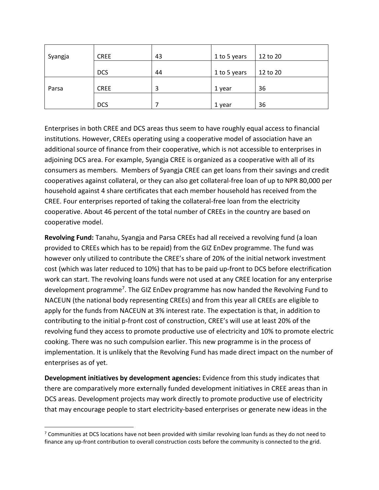| Syangja | <b>CREE</b> | 43 | 1 to 5 years | 12 to 20 |
|---------|-------------|----|--------------|----------|
|         |             |    |              |          |
|         | <b>DCS</b>  | 44 | 1 to 5 years | 12 to 20 |
|         |             |    |              |          |
| Parsa   | <b>CREE</b> | 3  | 1 year       | 36       |
|         |             |    |              |          |
|         | <b>DCS</b>  |    | 1 year       | 36       |

Enterprises in both CREE and DCS areas thus seem to have roughly equal access to financial institutions. However, CREEs operating using a cooperative model of association have an additional source of finance from their cooperative, which is not accessible to enterprises in adjoining DCS area. For example, Syangja CREE is organized as a cooperative with all of its consumers as members. Members of Syangja CREE can get loans from their savings and credit cooperatives against collateral, or they can also get collateral-free loan of up to NPR 80,000 per household against 4 share certificates that each member household has received from the CREE. Four enterprises reported of taking the collateral-free loan from the electricity cooperative. About 46 percent of the total number of CREEs in the country are based on cooperative model.

**Revolving Fund:** Tanahu, Syangja and Parsa CREEs had all received a revolving fund (a loan provided to CREEs which has to be repaid) from the GIZ EnDev programme. The fund was however only utilized to contribute the CREE's share of 20% of the initial network investment cost (which was later reduced to 10%) that has to be paid up-front to DCS before electrification work can start. The revolving loans funds were not used at any CREE location for any enterprise development programme<sup>7</sup>. The GIZ EnDev programme has now handed the Revolving Fund to NACEUN (the national body representing CREEs) and from this year all CREEs are eligible to apply for the funds from NACEUN at 3% interest rate. The expectation is that, in addition to contributing to the initial p-front cost of construction, CREE's will use at least 20% of the revolving fund they access to promote productive use of electricity and 10% to promote electric cooking. There was no such compulsion earlier. This new programme is in the process of implementation. It is unlikely that the Revolving Fund has made direct impact on the number of enterprises as of yet.

**Development initiatives by development agencies:** Evidence from this study indicates that there are comparatively more externally funded development initiatives in CREE areas than in DCS areas. Development projects may work directly to promote productive use of electricity that may encourage people to start electricity-based enterprises or generate new ideas in the

 $7$  Communities at DCS locations have not been provided with similar revolving loan funds as they do not need to finance any up-front contribution to overall construction costs before the community is connected to the grid.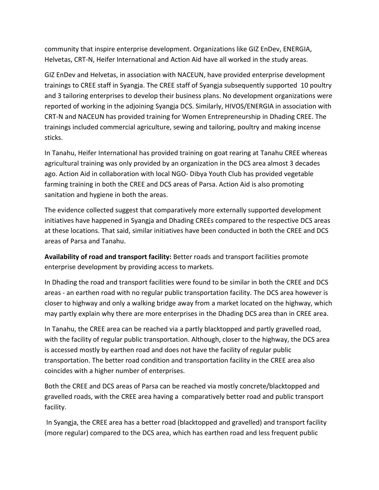community that inspire enterprise development. Organizations like GIZ EnDev, ENERGIA, Helvetas, CRT-N, Heifer International and Action Aid have all worked in the study areas.

GIZ EnDev and Helvetas, in association with NACEUN, have provided enterprise development trainings to CREE staff in Syangja. The CREE staff of Syangja subsequently supported 10 poultry and 3 tailoring enterprises to develop their business plans. No development organizations were reported of working in the adjoining Syangja DCS. Similarly, HIVOS/ENERGIA in association with CRT-N and NACEUN has provided training for Women Entrepreneurship in Dhading CREE. The trainings included commercial agriculture, sewing and tailoring, poultry and making incense sticks.

In Tanahu, Heifer International has provided training on goat rearing at Tanahu CREE whereas agricultural training was only provided by an organization in the DCS area almost 3 decades ago. Action Aid in collaboration with local NGO- Dibya Youth Club has provided vegetable farming training in both the CREE and DCS areas of Parsa. Action Aid is also promoting sanitation and hygiene in both the areas.

The evidence collected suggest that comparatively more externally supported development initiatives have happened in Syangja and Dhading CREEs compared to the respective DCS areas at these locations. That said, similar initiatives have been conducted in both the CREE and DCS areas of Parsa and Tanahu.

**Availability of road and transport facility:** Better roads and transport facilities promote enterprise development by providing access to markets.

In Dhading the road and transport facilities were found to be similar in both the CREE and DCS areas - an earthen road with no regular public transportation facility. The DCS area however is closer to highway and only a walking bridge away from a market located on the highway, which may partly explain why there are more enterprises in the Dhading DCS area than in CREE area.

In Tanahu, the CREE area can be reached via a partly blacktopped and partly gravelled road, with the facility of regular public transportation. Although, closer to the highway, the DCS area is accessed mostly by earthen road and does not have the facility of regular public transportation. The better road condition and transportation facility in the CREE area also coincides with a higher number of enterprises.

Both the CREE and DCS areas of Parsa can be reached via mostly concrete/blacktopped and gravelled roads, with the CREE area having a comparatively better road and public transport facility.

In Syangja, the CREE area has a better road (blacktopped and gravelled) and transport facility (more regular) compared to the DCS area, which has earthen road and less frequent public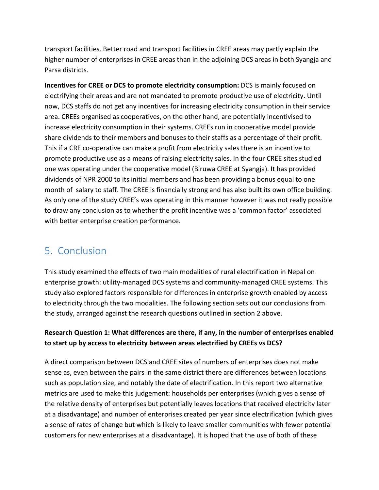transport facilities. Better road and transport facilities in CREE areas may partly explain the higher number of enterprises in CREE areas than in the adjoining DCS areas in both Syangja and Parsa districts.

**Incentives for CREE or DCS to promote electricity consumption:** DCS is mainly focused on electrifying their areas and are not mandated to promote productive use of electricity. Until now, DCS staffs do not get any incentives for increasing electricity consumption in their service area. CREEs organised as cooperatives, on the other hand, are potentially incentivised to increase electricity consumption in their systems. CREEs run in cooperative model provide share dividends to their members and bonuses to their staffs as a percentage of their profit. This if a CRE co-operative can make a profit from electricity sales there is an incentive to promote productive use as a means of raising electricity sales. In the four CREE sites studied one was operating under the cooperative model (Biruwa CREE at Syangja). It has provided dividends of NPR 2000 to its initial members and has been providing a bonus equal to one month of salary to staff. The CREE is financially strong and has also built its own office building. As only one of the study CREE's was operating in this manner however it was not really possible to draw any conclusion as to whether the profit incentive was a 'common factor' associated with better enterprise creation performance.

## 5. Conclusion

This study examined the effects of two main modalities of rural electrification in Nepal on enterprise growth: utility-managed DCS systems and community-managed CREE systems. This study also explored factors responsible for differences in enterprise growth enabled by access to electricity through the two modalities. The following section sets out our conclusions from the study, arranged against the research questions outlined in section 2 above.

## **Research Question 1: What differences are there, if any, in the number of enterprises enabled to start up by access to electricity between areas electrified by CREEs vs DCS?**

A direct comparison between DCS and CREE sites of numbers of enterprises does not make sense as, even between the pairs in the same district there are differences between locations such as population size, and notably the date of electrification. In this report two alternative metrics are used to make this judgement: households per enterprises (which gives a sense of the relative density of enterprises but potentially leaves locations that received electricity later at a disadvantage) and number of enterprises created per year since electrification (which gives a sense of rates of change but which is likely to leave smaller communities with fewer potential customers for new enterprises at a disadvantage). It is hoped that the use of both of these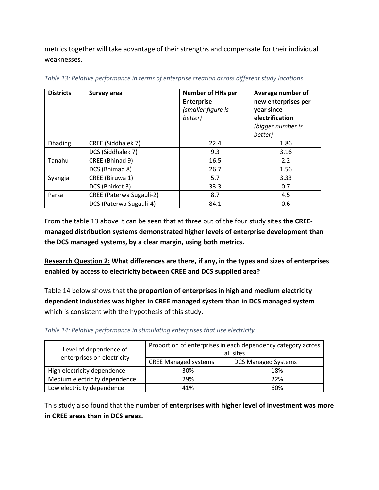metrics together will take advantage of their strengths and compensate for their individual weaknesses.

| <b>Districts</b> | <b>Survey area</b>              | <b>Number of HHs per</b><br><b>Enterprise</b><br>(smaller figure is<br>better) | Average number of<br>new enterprises per<br>year since<br>electrification<br>(bigger number is<br>better) |
|------------------|---------------------------------|--------------------------------------------------------------------------------|-----------------------------------------------------------------------------------------------------------|
| <b>Dhading</b>   | CREE (Siddhalek 7)              | 22.4                                                                           | 1.86                                                                                                      |
|                  | DCS (Siddhalek 7)               | 9.3                                                                            | 3.16                                                                                                      |
| Tanahu           | CREE (Bhinad 9)                 | 16.5                                                                           | 2.2                                                                                                       |
|                  | DCS (Bhimad 8)                  | 26.7                                                                           | 1.56                                                                                                      |
| Syangja          | CREE (Biruwa 1)                 | 5.7                                                                            | 3.33                                                                                                      |
|                  | DCS (Bhirkot 3)                 | 33.3                                                                           | 0.7                                                                                                       |
| Parsa            | <b>CREE</b> (Paterwa Sugauli-2) | 8.7                                                                            | 4.5                                                                                                       |
|                  | DCS (Paterwa Sugauli-4)         | 84.1                                                                           | 0.6                                                                                                       |

*Table 13: Relative performance in terms of enterprise creation across different study locations*

From the table 13 above it can be seen that at three out of the four study sites **the CREEmanaged distribution systems demonstrated higher levels of enterprise development than the DCS managed systems, by a clear margin, using both metrics.** 

**Research Question 2: What differences are there, if any, in the types and sizes of enterprises enabled by access to electricity between CREE and DCS supplied area?**

Table 14 below shows that **the proportion of enterprises in high and medium electricity dependent industries was higher in CREE managed system than in DCS managed system** which is consistent with the hypothesis of this study.

*Table 14: Relative performance in stimulating enterprises that use electricity*

| Level of dependence of        | Proportion of enterprises in each dependency category across<br>all sites |                            |  |  |
|-------------------------------|---------------------------------------------------------------------------|----------------------------|--|--|
| enterprises on electricity    | <b>CREE Managed systems</b>                                               | <b>DCS Managed Systems</b> |  |  |
| High electricity dependence   | 30%                                                                       | 18%                        |  |  |
| Medium electricity dependence | 29%                                                                       | 22%                        |  |  |
| Low electricity dependence    | 41%                                                                       | 60%                        |  |  |

This study also found that the number of **enterprises with higher level of investment was more in CREE areas than in DCS areas.**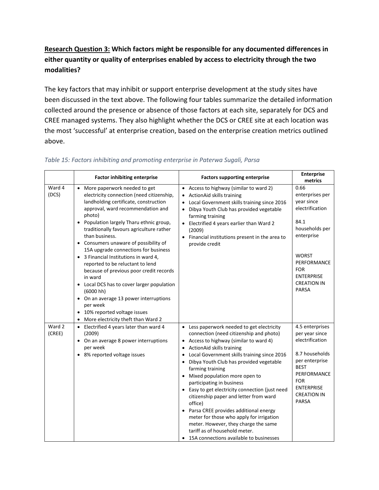## **Research Question 3: Which factors might be responsible for any documented differences in either quantity or quality of enterprises enabled by access to electricity through the two modalities?**

The key factors that may inhibit or support enterprise development at the study sites have been discussed in the text above. The following four tables summarize the detailed information collected around the presence or absence of those factors at each site, separately for DCS and CREE managed systems. They also highlight whether the DCS or CREE site at each location was the most 'successful' at enterprise creation, based on the enterprise creation metrics outlined above.

|                  | <b>Factor inhibiting enterprise</b>                                                                                                                                                                                                                                                                                                                                                                                                                                                                                                                                                                                                                                                                           | <b>Factors supporting enterprise</b>                                                                                                                                                                                                                                                                                                                                                                                                                                                                                                                                                                                                                                           | Enterprise<br>metrics                                                                                                                                                                                    |
|------------------|---------------------------------------------------------------------------------------------------------------------------------------------------------------------------------------------------------------------------------------------------------------------------------------------------------------------------------------------------------------------------------------------------------------------------------------------------------------------------------------------------------------------------------------------------------------------------------------------------------------------------------------------------------------------------------------------------------------|--------------------------------------------------------------------------------------------------------------------------------------------------------------------------------------------------------------------------------------------------------------------------------------------------------------------------------------------------------------------------------------------------------------------------------------------------------------------------------------------------------------------------------------------------------------------------------------------------------------------------------------------------------------------------------|----------------------------------------------------------------------------------------------------------------------------------------------------------------------------------------------------------|
| Ward 4<br>(DCS)  | • More paperwork needed to get<br>electricity connection (need citizenship,<br>landholding certificate, construction<br>approval, ward recommendation and<br>photo)<br>• Population largely Tharu ethnic group,<br>traditionally favours agriculture rather<br>than business.<br>• Consumers unaware of possibility of<br>15A upgrade connections for business<br>3 Financial Institutions in ward 4,<br>$\bullet$<br>reported to be reluctant to lend<br>because of previous poor credit records<br>in ward<br>Local DCS has to cover larger population<br>(6000 hh)<br>• On an average 13 power interruptions<br>per week<br>10% reported voltage issues<br>$\bullet$<br>More electricity theft than Ward 2 | Access to highway (similar to ward 2)<br>$\bullet$<br>ActionAid skills training<br>Local Government skills training since 2016<br>Dibya Youth Club has provided vegetable<br>farming training<br>Electrified 4 years earlier than Ward 2<br>(2009)<br>• Financial institutions present in the area to<br>provide credit                                                                                                                                                                                                                                                                                                                                                        | 0.66<br>enterprises per<br>year since<br>electrification<br>84.1<br>households per<br>enterprise<br><b>WORST</b><br>PERFORMANCE<br><b>FOR</b><br><b>ENTERPRISE</b><br><b>CREATION IN</b><br><b>PARSA</b> |
| Ward 2<br>(CREE) | • Electrified 4 years later than ward 4<br>(2009)<br>On an average 8 power interruptions<br>$\bullet$<br>per week<br>8% reported voltage issues                                                                                                                                                                                                                                                                                                                                                                                                                                                                                                                                                               | Less paperwork needed to get electricity<br>$\bullet$<br>connection (need citizenship and photo)<br>Access to highway (similar to ward 4)<br>$\bullet$<br>ActionAid skills training<br>Local Government skills training since 2016<br>Dibya Youth Club has provided vegetable<br>farming training<br>Mixed population more open to<br>participating in business<br>Easy to get electricity connection (just need<br>citizenship paper and letter from ward<br>office)<br>Parsa CREE provides additional energy<br>meter for those who apply for irrigation<br>meter. However, they charge the same<br>tariff as of household meter.<br>15A connections available to businesses | 4.5 enterprises<br>per year since<br>electrification<br>8.7 households<br>per enterprise<br><b>BEST</b><br>PERFORMANCE<br><b>FOR</b><br><b>ENTERPRISE</b><br><b>CREATION IN</b><br><b>PARSA</b>          |

#### *Table 15: Factors inhibiting and promoting enterprise in Paterwa Sugali, Parsa*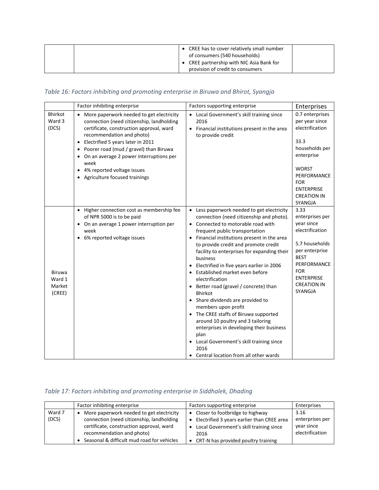|  | CREE has to cover relatively small number<br>of consumers (540 households)<br>• CREE partnership with NIC Asia Bank for<br>provision of credit to consumers |
|--|-------------------------------------------------------------------------------------------------------------------------------------------------------------|
|--|-------------------------------------------------------------------------------------------------------------------------------------------------------------|

### *Table 16: Factors inhibiting and promoting enterprise in Biruwa and Bhirot, Syangja*

|                                             | Factor inhibiting enterprise                                                                                                                                                                                                                                                                                                                                                     | Factors supporting enterprise                                                                                                                                                                                                                                                                                                                                                                                                                                                                                                                                                                                                                                                                                                                                               | Enterprises                                                                                                                                                                                     |
|---------------------------------------------|----------------------------------------------------------------------------------------------------------------------------------------------------------------------------------------------------------------------------------------------------------------------------------------------------------------------------------------------------------------------------------|-----------------------------------------------------------------------------------------------------------------------------------------------------------------------------------------------------------------------------------------------------------------------------------------------------------------------------------------------------------------------------------------------------------------------------------------------------------------------------------------------------------------------------------------------------------------------------------------------------------------------------------------------------------------------------------------------------------------------------------------------------------------------------|-------------------------------------------------------------------------------------------------------------------------------------------------------------------------------------------------|
| <b>Bhirkot</b><br>Ward 3<br>(DCS)           | • More paperwork needed to get electricity<br>connection (need citizenship, landholding<br>certificate, construction approval, ward<br>recommendation and photo)<br>Electrified 5 years later in 2011<br>$\bullet$<br>Poorer road (mud / gravel) than Biruwa<br>On an average 2 power interruptions per<br>week<br>• 4% reported voltage issues<br>Agriculture focused trainings | Local Government's skill training since<br>2016<br>Financial institutions present in the area<br>to provide credit                                                                                                                                                                                                                                                                                                                                                                                                                                                                                                                                                                                                                                                          | 0.7 enterprises<br>per year since<br>electrification<br>33.3<br>households per<br>enterprise<br><b>WORST</b><br>PERFORMANCE<br><b>FOR</b><br><b>ENTERPRISE</b><br><b>CREATION IN</b><br>SYANGJA |
| <b>Biruwa</b><br>Ward 1<br>Market<br>(CREE) | • Higher connection cost as membership fee<br>of NPR 5000 is to be paid<br>On an average 1 power interruption per<br>week<br>• 6% reported voltage issues                                                                                                                                                                                                                        | • Less paperwork needed to get electricity<br>connection (need citizenship and photo).<br>Connected to motorable road with<br>frequent public transportation<br>Financial institutions present in the area<br>to provide credit and promote credit<br>facility to enterprises for expanding their<br>business<br>• Electrified in five years earlier in 2006<br>Established market even before<br>electrification<br>• Better road (gravel / concrete) than<br><b>Bhirkot</b><br>• Share dividends are provided to<br>members upon profit<br>• The CREE staffs of Biruwa supported<br>around 10 poultry and 3 tailoring<br>enterprises in developing their business<br>plan<br>• Local Government's skill training since<br>2016<br>• Central location from all other wards | 3.33<br>enterprises per<br>year since<br>electrification<br>5.7 households<br>per enterprise<br><b>BEST</b><br>PERFORMANCE<br><b>FOR</b><br><b>ENTERPRISE</b><br><b>CREATION IN</b><br>SYANGJA  |

#### *Table 17: Factors inhibiting and promoting enterprise in Siddhalek, Dhading*

|                 | Factor inhibiting enterprise                                                                                                      | Factors supporting enterprise                                                                                                | Enterprises                           |  |
|-----------------|-----------------------------------------------------------------------------------------------------------------------------------|------------------------------------------------------------------------------------------------------------------------------|---------------------------------------|--|
| Ward 7<br>(DCS) | More paperwork needed to get electricity<br>connection (need citizenship, landholding<br>certificate, construction approval, ward | • Closer to footbridge to highway<br>• Electrified 3 years earlier than CREE area<br>Local Government's skill training since | 3.16<br>enterprises per<br>year since |  |
|                 | recommendation and photo)<br>Seasonal & difficult mud road for vehicles                                                           | 2016<br>• CRT-N has provided poultry training                                                                                | electrification                       |  |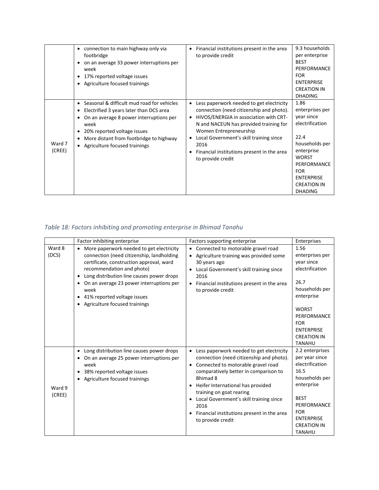|                  | connection to main highway only via<br>footbridge<br>on an average 33 power interruptions per<br>week<br>17% reported voltage issues<br>Agriculture focused trainings                                                                                 | Financial institutions present in the area<br>to provide credit                                                                                                                                                                                                                                                                       | 9.3 households<br>per enterprise<br><b>BEST</b><br>PERFORMANCE<br><b>FOR</b><br><b>ENTERPRISE</b><br><b>CREATION IN</b><br><b>DHADING</b>                                                                  |
|------------------|-------------------------------------------------------------------------------------------------------------------------------------------------------------------------------------------------------------------------------------------------------|---------------------------------------------------------------------------------------------------------------------------------------------------------------------------------------------------------------------------------------------------------------------------------------------------------------------------------------|------------------------------------------------------------------------------------------------------------------------------------------------------------------------------------------------------------|
| Ward 7<br>(CREE) | Seasonal & difficult mud road for vehicles<br>Electrified 3 years later than DCS area<br>On an average 8 power interruptions per<br>week<br>20% reported voltage issues<br>More distant from footbridge to highway<br>• Agriculture focused trainings | Less paperwork needed to get electricity<br>connection (need citizenship and photo).<br>HIVOS/ENERGIA in association with CRT-<br>N and NACEUN has provided training for<br>Women Entrepreneurship<br>Local Government's skill training since<br>$\bullet$<br>2016<br>Financial institutions present in the area<br>to provide credit | 1.86<br>enterprises per<br>year since<br>electrification<br>22.4<br>households per<br>enterprise<br><b>WORST</b><br>PERFORMANCE<br><b>FOR</b><br><b>ENTERPRISE</b><br><b>CREATION IN</b><br><b>DHADING</b> |

### *Table 18: Factors inhibiting and promoting enterprise in Bhimad Tanahu*

|                  | Factor inhibiting enterprise                                                                                                                                                                                                                                                                                                                      | Factors supporting enterprise                                                                                                                                                                                                                                                                                                                                                                                 | Enterprises                                                                                                                                                                                               |
|------------------|---------------------------------------------------------------------------------------------------------------------------------------------------------------------------------------------------------------------------------------------------------------------------------------------------------------------------------------------------|---------------------------------------------------------------------------------------------------------------------------------------------------------------------------------------------------------------------------------------------------------------------------------------------------------------------------------------------------------------------------------------------------------------|-----------------------------------------------------------------------------------------------------------------------------------------------------------------------------------------------------------|
| Ward 8<br>(DCS)  | More paperwork needed to get electricity<br>$\bullet$<br>connection (need citizenship, landholding<br>certificate, construction approval, ward<br>recommendation and photo)<br>Long distribution line causes power drops<br>٠<br>On an average 23 power interruptions per<br>week<br>41% reported voltage issues<br>Agriculture focused trainings | Connected to motorable gravel road<br>$\bullet$<br>Agriculture training was provided some<br>30 years ago<br>Local Government's skill training since<br>$\bullet$<br>2016<br>Financial institutions present in the area<br>to provide credit                                                                                                                                                                  | 1.56<br>enterprises per<br>year since<br>electrification<br>26.7<br>households per<br>enterprise<br><b>WORST</b><br>PERFORMANCE<br><b>FOR</b><br><b>ENTERPRISE</b><br><b>CREATION IN</b><br><b>TANAHU</b> |
| Ward 9<br>(CREE) | Long distribution line causes power drops<br>On an average 25 power interruptions per<br>week<br>38% reported voltage issues<br>Agriculture focused trainings                                                                                                                                                                                     | Less paperwork needed to get electricity<br>connection (need citizenship and photo).<br>Connected to motorable gravel road<br>$\bullet$<br>comparatively better in comparison to<br>Bhimad 8<br>Heifer International has provided<br>training on goat rearing<br>Local Government's skill training since<br>$\bullet$<br>2016<br>Financial institutions present in the area<br>$\bullet$<br>to provide credit | 2.2 enterprises<br>per year since<br>electrification<br>16.5<br>households per<br>enterprise<br><b>BEST</b><br>PERFORMANCE<br><b>FOR</b><br><b>ENTERPRISE</b><br><b>CREATION IN</b><br><b>TANAHU</b>      |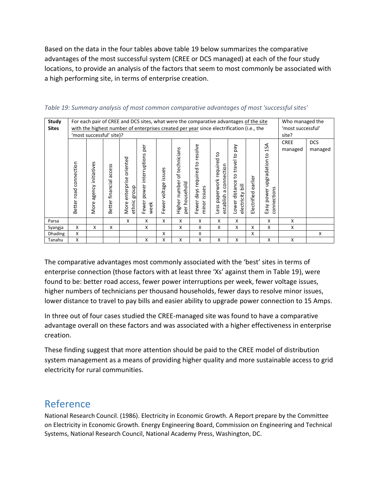Based on the data in the four tables above table 19 below summarizes the comparative advantages of the most successful system (CREE or DCS managed) at each of the four study locations, to provide an analysis of the factors that seem to most commonly be associated with a high performing site, in terms of enterprise creation.

| Study          | For each pair of CREE and DCS sites, what were the comparative advantages of the site    |             |           |              |               |         |                                |                |                        |                  | Who managed the |                           |             |            |
|----------------|------------------------------------------------------------------------------------------|-------------|-----------|--------------|---------------|---------|--------------------------------|----------------|------------------------|------------------|-----------------|---------------------------|-------------|------------|
| <b>Sites</b>   | with the highest number of enterprises created per year since electrification (i.e., the |             |           |              |               |         |                                |                | 'most successful'      |                  |                 |                           |             |            |
|                | 'most successful' site)?                                                                 |             |           |              |               |         |                                |                |                        |                  | site?           |                           |             |            |
|                |                                                                                          |             |           |              |               |         |                                |                |                        |                  |                 |                           | <b>CREE</b> | <b>DCS</b> |
|                |                                                                                          |             |           |              | per           |         |                                |                |                        | yed              |                 | 15A                       | managed     | managed    |
|                |                                                                                          |             |           |              | interruptions |         | of technicians                 | to resolve     | ₽                      | 5                |                 | upgradation to            |             |            |
|                | connection                                                                               | initiatives | ccess     | oriented     |               | sues    |                                |                | required<br>connection | travel           |                 |                           |             |            |
|                |                                                                                          |             | ᠊ᢐ        |              |               | ق.      |                                | required       |                        | ġ                | earlier         |                           |             |            |
|                |                                                                                          |             | financial | enterprise   | power         | voltage | Higher number<br>per household |                | paperwork              | Lower distance   |                 |                           |             |            |
|                | Better road                                                                              | agency      |           | ethnic group |               |         |                                | issues<br>days | establish a            | electricity bill | Electrified     | connections<br>Easy power |             |            |
|                |                                                                                          |             | Better    |              | Fewer         | Fewer   |                                | Fewer          |                        |                  |                 |                           |             |            |
|                |                                                                                          | More        |           | More         | week          |         |                                | minor          | Less                   |                  |                 |                           |             |            |
| Parsa          |                                                                                          |             |           | X            | X             | X       | X                              | X              | X                      | X                |                 | x                         | X           |            |
| Syangja        | X                                                                                        | X           | x         |              | X             |         | x                              | X              | x                      | X                | X               | x                         | X           |            |
| <b>Dhading</b> | X                                                                                        |             |           |              |               | X       |                                | Χ              |                        |                  | X               |                           |             | X          |
| Tanahu         | X                                                                                        |             |           |              | x             | x       | x                              | x              | x                      | x                |                 | X                         | x           |            |

|  |  | Table 19: Summary analysis of most common comparative advantages of most 'successful sites' |  |  |
|--|--|---------------------------------------------------------------------------------------------|--|--|
|--|--|---------------------------------------------------------------------------------------------|--|--|

The comparative advantages most commonly associated with the 'best' sites in terms of enterprise connection (those factors with at least three 'Xs' against them in Table 19), were found to be: better road access, fewer power interruptions per week, fewer voltage issues, higher numbers of technicians per thousand households, fewer days to resolve minor issues, lower distance to travel to pay bills and easier ability to upgrade power connection to 15 Amps.

In three out of four cases studied the CREE-managed site was found to have a comparative advantage overall on these factors and was associated with a higher effectiveness in enterprise creation.

These finding suggest that more attention should be paid to the CREE model of distribution system management as a means of providing higher quality and more sustainable access to grid electricity for rural communities.

## Reference

National Research Council. (1986). Electricity in Economic Growth. A Report prepare by the Committee on Electricity in Economic Growth. Energy Engineering Board, Commission on Engineering and Technical Systems, National Research Council, National Academy Press, Washington, DC.